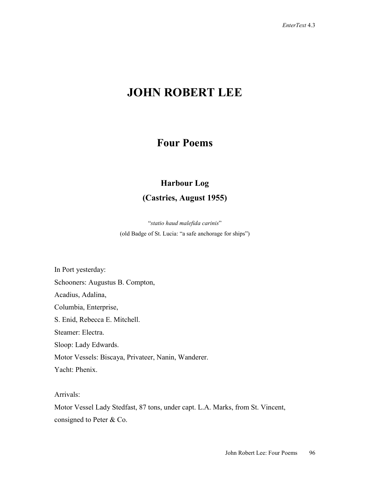# **JOHN ROBERT LEE**

### **Four Poems**

## **Harbour Log (Castries, August 1955)**

"*statio haud malefida carinis*" (old Badge of St. Lucia: "a safe anchorage for ships")

In Port yesterday: Schooners: Augustus B. Compton, Acadius, Adalina, Columbia, Enterprise, S. Enid, Rebecca E. Mitchell. Steamer: Electra. Sloop: Lady Edwards. Motor Vessels: Biscaya, Privateer, Nanin, Wanderer. Yacht: Phenix.

Arrivals:

Motor Vessel Lady Stedfast, 87 tons, under capt. L.A. Marks, from St. Vincent, consigned to Peter & Co.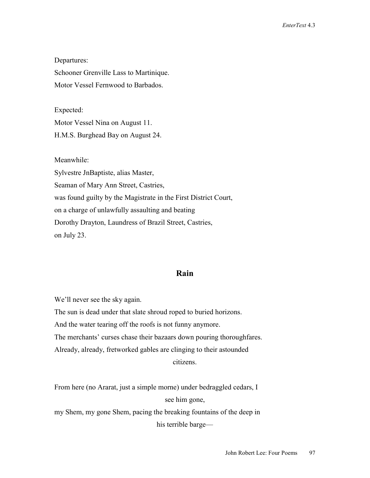Departures: Schooner Grenville Lass to Martinique. Motor Vessel Fernwood to Barbados.

Expected:

Motor Vessel Nina on August 11.

H.M.S. Burghead Bay on August 24.

Meanwhile:

Sylvestre JnBaptiste, alias Master, Seaman of Mary Ann Street, Castries, was found guilty by the Magistrate in the First District Court, on a charge of unlawfully assaulting and beating Dorothy Drayton, Laundress of Brazil Street, Castries, on July 23.

#### **Rain**

We'll never see the sky again.

The sun is dead under that slate shroud roped to buried horizons.

And the water tearing off the roofs is not funny anymore.

The merchants' curses chase their bazaars down pouring thoroughfares.

Already, already, fretworked gables are clinging to their astounded

citizens.

From here (no Ararat, just a simple morne) under bedraggled cedars, I see him gone,

my Shem, my gone Shem, pacing the breaking fountains of the deep in

his terrible barge—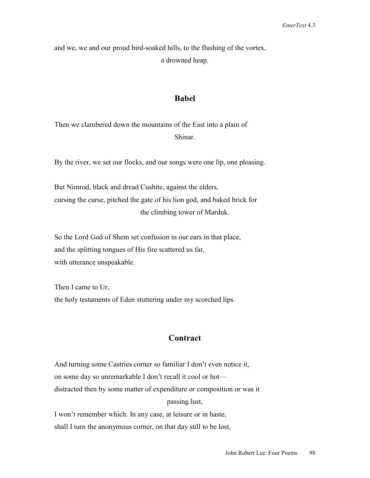and we, we and our proud bird-soaked hills, to the flushing of the vortex, a drowned heap.

#### **Babel**

Then we clambered down the mountains of the East into a plain of Shinar.

By the river, we set our flocks, and our songs were one lip, one pleasing.

But Nimrod, black and dread Cushite, against the elders, cursing the curse, pitched the gate of his lion god, and baked brick for the climbing tower of Marduk.

So the Lord God of Shem set confusion in our ears in that place, and the splitting tongues of His fire scattered us far, with utterance unspeakable.

Then I came to Ur, the holy testaments of Eden stuttering under my scorched lips.

#### **Contract**

And turning some Castries corner so familiar I don't even notice it, on some day so unremarkable I don't recall it cool or hot distracted then by some matter of expenditure or composition or was it passing lust,

I won't remember which. In any case, at leisure or in haste, shall I turn the anonymous corner, on that day still to be lost,